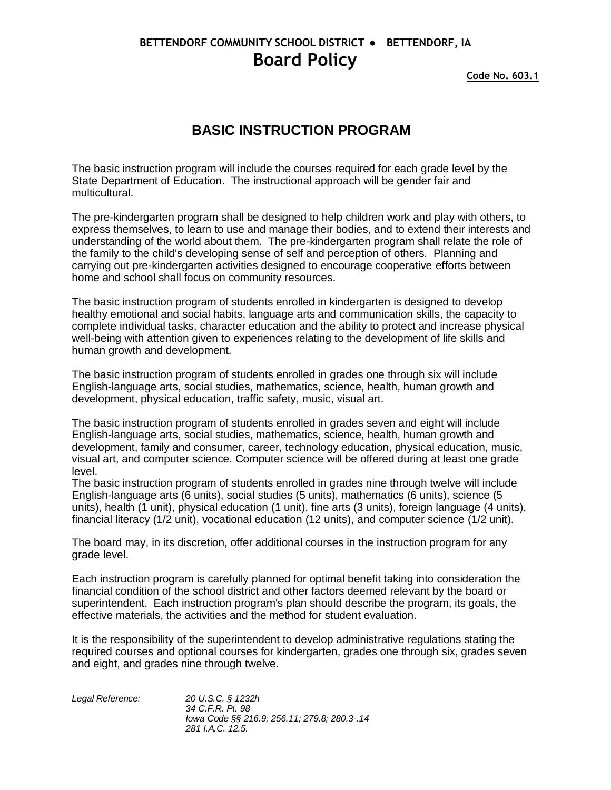## **BETTENDORF COMMUNITY SCHOOL DISTRICT ● BETTENDORF, IA Board Policy**

**Code No. 603.1**

## **BASIC INSTRUCTION PROGRAM**

The basic instruction program will include the courses required for each grade level by the State Department of Education. The instructional approach will be gender fair and multicultural.

The pre-kindergarten program shall be designed to help children work and play with others, to express themselves, to learn to use and manage their bodies, and to extend their interests and understanding of the world about them. The pre-kindergarten program shall relate the role of the family to the child's developing sense of self and perception of others. Planning and carrying out pre-kindergarten activities designed to encourage cooperative efforts between home and school shall focus on community resources.

The basic instruction program of students enrolled in kindergarten is designed to develop healthy emotional and social habits, language arts and communication skills, the capacity to complete individual tasks, character education and the ability to protect and increase physical well-being with attention given to experiences relating to the development of life skills and human growth and development.

The basic instruction program of students enrolled in grades one through six will include English-language arts, social studies, mathematics, science, health, human growth and development, physical education, traffic safety, music, visual art.

The basic instruction program of students enrolled in grades seven and eight will include English-language arts, social studies, mathematics, science, health, human growth and development, family and consumer, career, technology education, physical education, music, visual art, and computer science. Computer science will be offered during at least one grade level.

The basic instruction program of students enrolled in grades nine through twelve will include English-language arts (6 units), social studies (5 units), mathematics (6 units), science (5 units), health (1 unit), physical education (1 unit), fine arts (3 units), foreign language (4 units), financial literacy (1/2 unit), vocational education (12 units), and computer science (1/2 unit).

The board may, in its discretion, offer additional courses in the instruction program for any grade level.

Each instruction program is carefully planned for optimal benefit taking into consideration the financial condition of the school district and other factors deemed relevant by the board or superintendent. Each instruction program's plan should describe the program, its goals, the effective materials, the activities and the method for student evaluation.

It is the responsibility of the superintendent to develop administrative regulations stating the required courses and optional courses for kindergarten, grades one through six, grades seven and eight, and grades nine through twelve.

| Legal Reference: | 20 U.S.C. § 1232h                            |
|------------------|----------------------------------------------|
|                  | 34 C.F.R. Pt. 98                             |
|                  | lowa Code §§ 216.9; 256.11; 279.8; 280.3-.14 |
|                  | 281 I.A.C. 12.5.                             |